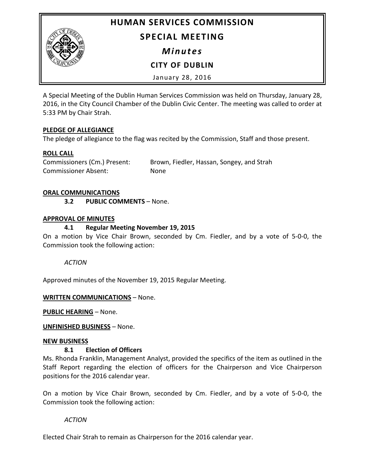**HUMAN SERVICES COMMISSION**



# **SPECIAL MEETING**

*Minutes*

**CITY OF DUBLIN**

January 28, 2016

A Special Meeting of the Dublin Human Services Commission was held on Thursday, January 28, 2016, in the City Council Chamber of the Dublin Civic Center. The meeting was called to order at 5:33 PM by Chair Strah.

#### **PLEDGE OF ALLEGIANCE**

The pledge of allegiance to the flag was recited by the Commission, Staff and those present.

## **ROLL CALL**

Commissioners (Cm.) Present: Brown, Fiedler, Hassan, Songey, and Strah Commissioner Absent: None

#### **ORAL COMMUNICATIONS**

**3.2 PUBLIC COMMENTS** – None.

#### **APPROVAL OF MINUTES**

## **4.1 Regular Meeting November 19, 2015**

On a motion by Vice Chair Brown, seconded by Cm. Fiedler, and by a vote of 5-0-0, the Commission took the following action:

*ACTION*

Approved minutes of the November 19, 2015 Regular Meeting.

#### **WRITTEN COMMUNICATIONS** – None.

**PUBLIC HEARING** – None.

#### **UNFINISHED BUSINESS** – None.

#### **NEW BUSINESS**

#### **8.1 Election of Officers**

Ms. Rhonda Franklin, Management Analyst, provided the specifics of the item as outlined in the Staff Report regarding the election of officers for the Chairperson and Vice Chairperson positions for the 2016 calendar year.

On a motion by Vice Chair Brown, seconded by Cm. Fiedler, and by a vote of 5-0-0, the Commission took the following action:

*ACTION*

Elected Chair Strah to remain as Chairperson for the 2016 calendar year.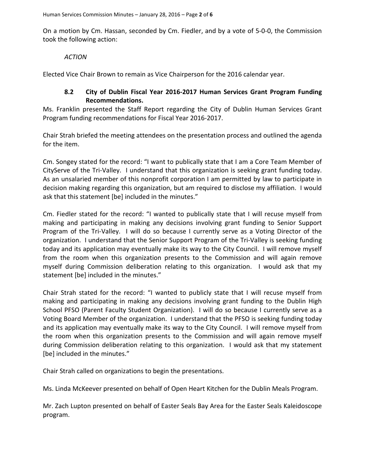On a motion by Cm. Hassan, seconded by Cm. Fiedler, and by a vote of 5-0-0, the Commission took the following action:

#### *ACTION*

Elected Vice Chair Brown to remain as Vice Chairperson for the 2016 calendar year.

### **8.2 City of Dublin Fiscal Year 2016-2017 Human Services Grant Program Funding Recommendations.**

Ms. Franklin presented the Staff Report regarding the City of Dublin Human Services Grant Program funding recommendations for Fiscal Year 2016-2017.

Chair Strah briefed the meeting attendees on the presentation process and outlined the agenda for the item.

Cm. Songey stated for the record: "I want to publically state that I am a Core Team Member of CityServe of the Tri-Valley. I understand that this organization is seeking grant funding today. As an unsalaried member of this nonprofit corporation I am permitted by law to participate in decision making regarding this organization, but am required to disclose my affiliation. I would ask that this statement [be] included in the minutes."

Cm. Fiedler stated for the record: "I wanted to publically state that I will recuse myself from making and participating in making any decisions involving grant funding to Senior Support Program of the Tri-Valley. I will do so because I currently serve as a Voting Director of the organization. I understand that the Senior Support Program of the Tri-Valley is seeking funding today and its application may eventually make its way to the City Council. I will remove myself from the room when this organization presents to the Commission and will again remove myself during Commission deliberation relating to this organization. I would ask that my statement [be] included in the minutes."

Chair Strah stated for the record: "I wanted to publicly state that I will recuse myself from making and participating in making any decisions involving grant funding to the Dublin High School PFSO (Parent Faculty Student Organization). I will do so because I currently serve as a Voting Board Member of the organization. I understand that the PFSO is seeking funding today and its application may eventually make its way to the City Council. I will remove myself from the room when this organization presents to the Commission and will again remove myself during Commission deliberation relating to this organization. I would ask that my statement [be] included in the minutes."

Chair Strah called on organizations to begin the presentations.

Ms. Linda McKeever presented on behalf of Open Heart Kitchen for the Dublin Meals Program.

Mr. Zach Lupton presented on behalf of Easter Seals Bay Area for the Easter Seals Kaleidoscope program.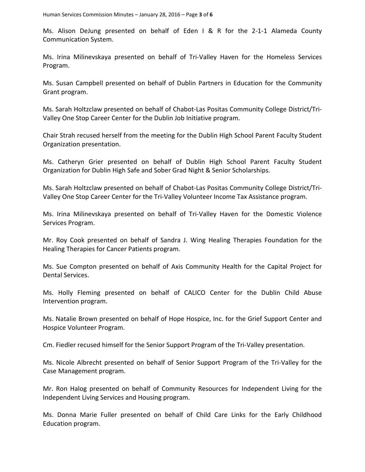Ms. Alison DeJung presented on behalf of Eden I & R for the 2-1-1 Alameda County Communication System.

Ms. Irina Milinevskaya presented on behalf of Tri-Valley Haven for the Homeless Services Program.

Ms. Susan Campbell presented on behalf of Dublin Partners in Education for the Community Grant program.

Ms. Sarah Holtzclaw presented on behalf of Chabot-Las Positas Community College District/Tri-Valley One Stop Career Center for the Dublin Job Initiative program.

Chair Strah recused herself from the meeting for the Dublin High School Parent Faculty Student Organization presentation.

Ms. Catheryn Grier presented on behalf of Dublin High School Parent Faculty Student Organization for Dublin High Safe and Sober Grad Night & Senior Scholarships.

Ms. Sarah Holtzclaw presented on behalf of Chabot-Las Positas Community College District/Tri-Valley One Stop Career Center for the Tri-Valley Volunteer Income Tax Assistance program.

Ms. Irina Milinevskaya presented on behalf of Tri-Valley Haven for the Domestic Violence Services Program.

Mr. Roy Cook presented on behalf of Sandra J. Wing Healing Therapies Foundation for the Healing Therapies for Cancer Patients program.

Ms. Sue Compton presented on behalf of Axis Community Health for the Capital Project for Dental Services.

Ms. Holly Fleming presented on behalf of CALICO Center for the Dublin Child Abuse Intervention program.

Ms. Natalie Brown presented on behalf of Hope Hospice, Inc. for the Grief Support Center and Hospice Volunteer Program.

Cm. Fiedler recused himself for the Senior Support Program of the Tri-Valley presentation.

Ms. Nicole Albrecht presented on behalf of Senior Support Program of the Tri-Valley for the Case Management program.

Mr. Ron Halog presented on behalf of Community Resources for Independent Living for the Independent Living Services and Housing program.

Ms. Donna Marie Fuller presented on behalf of Child Care Links for the Early Childhood Education program.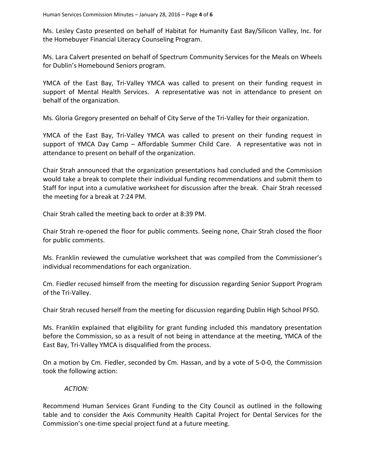Ms. Lesley Casto presented on behalf of Habitat for Humanity East Bay/Silicon Valley, Inc. for the Homebuyer Financial Literacy Counseling Program.

Ms. Lara Calvert presented on behalf of Spectrum Community Services for the Meals on Wheels for Dublin's Homebound Seniors program.

YMCA of the East Bay, Tri-Valley YMCA was called to present on their funding request in support of Mental Health Services. A representative was not in attendance to present on behalf of the organization.

Ms. Gloria Gregory presented on behalf of City Serve of the Tri-Valley for their organization.

YMCA of the East Bay, Tri-Valley YMCA was called to present on their funding request in support of YMCA Day Camp – Affordable Summer Child Care. A representative was not in attendance to present on behalf of the organization.

Chair Strah announced that the organization presentations had concluded and the Commission would take a break to complete their individual funding recommendations and submit them to Staff for input into a cumulative worksheet for discussion after the break. Chair Strah recessed the meeting for a break at 7:24 PM.

Chair Strah called the meeting back to order at 8:39 PM.

Chair Strah re-opened the floor for public comments. Seeing none, Chair Strah closed the floor for public comments.

Ms. Franklin reviewed the cumulative worksheet that was compiled from the Commissioner's individual recommendations for each organization.

Cm. Fiedler recused himself from the meeting for discussion regarding Senior Support Program of the Tri-Valley.

Chair Strah recused herself from the meeting for discussion regarding Dublin High School PFSO.

Ms. Franklin explained that eligibility for grant funding included this mandatory presentation before the Commission, so as a result of not being in attendance at the meeting, YMCA of the East Bay, Tri-Valley YMCA is disqualified from the process.

On a motion by Cm. Fiedler, seconded by Cm. Hassan, and by a vote of 5-0-0, the Commission took the following action:

#### *ACTION:*

Recommend Human Services Grant Funding to the City Council as outlined in the following table and to consider the Axis Community Health Capital Project for Dental Services for the Commission's one-time special project fund at a future meeting.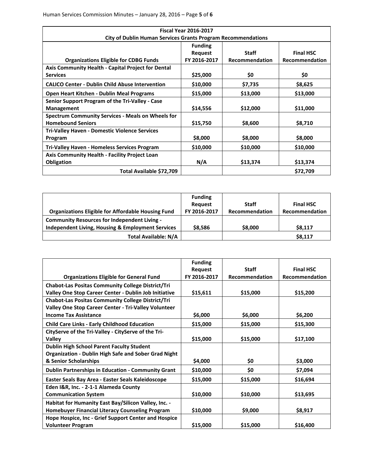| <b>Fiscal Year 2016-2017</b>                                        |                |                |                       |  |
|---------------------------------------------------------------------|----------------|----------------|-----------------------|--|
| <b>City of Dublin Human Services Grants Program Recommendations</b> |                |                |                       |  |
|                                                                     | <b>Funding</b> |                |                       |  |
|                                                                     | Request        | <b>Staff</b>   | <b>Final HSC</b>      |  |
| <b>Organizations Eligible for CDBG Funds</b>                        | FY 2016-2017   | Recommendation | <b>Recommendation</b> |  |
| Axis Community Health - Capital Project for Dental                  |                |                |                       |  |
| <b>Services</b>                                                     | \$25,000       | \$0            | \$0                   |  |
| <b>CALICO Center - Dublin Child Abuse Intervention</b>              | \$10,000       | \$7,735        | \$8,625               |  |
| Open Heart Kitchen - Dublin Meal Programs                           | \$15,000       | \$13,000       | \$13,000              |  |
| Senior Support Program of the Tri-Valley - Case                     |                |                |                       |  |
| <b>Management</b>                                                   | \$14,556       | \$12,000       | \$11,000              |  |
| <b>Spectrum Community Services - Meals on Wheels for</b>            |                |                |                       |  |
| <b>Homebound Seniors</b>                                            | \$15,750       | \$8,600        | \$8,710               |  |
| <b>Tri-Valley Haven - Domestic Violence Services</b>                |                |                |                       |  |
| Program                                                             | \$8,000        | \$8,000        | \$8,000               |  |
| <b>Tri-Valley Haven - Homeless Services Program</b>                 | \$10,000       | \$10,000       | \$10,000              |  |
| Axis Community Health - Facility Project Loan                       |                |                |                       |  |
| <b>Obligation</b>                                                   | N/A            | \$13,374       | \$13,374              |  |
| Total Available \$72,709                                            |                |                | \$72,709              |  |

|                                                           | <b>Funding</b><br><b>Request</b> | <b>Staff</b>   | <b>Final HSC</b> |
|-----------------------------------------------------------|----------------------------------|----------------|------------------|
| <b>Organizations Eligible for Affordable Housing Fund</b> | FY 2016-2017                     | Recommendation | Recommendation   |
| <b>Community Resources for Independent Living -</b>       |                                  |                |                  |
| Independent Living, Housing & Employment Services         | \$8,586                          | \$8,000        | \$8,117          |
| <b>Total Available: N/A</b>                               |                                  |                | \$8,117          |

|                                                                                                                                          | <b>Funding</b> |                |                       |
|------------------------------------------------------------------------------------------------------------------------------------------|----------------|----------------|-----------------------|
|                                                                                                                                          | Request        | <b>Staff</b>   | <b>Final HSC</b>      |
| <b>Organizations Eligible for General Fund</b>                                                                                           | FY 2016-2017   | Recommendation | <b>Recommendation</b> |
| <b>Chabot-Las Positas Community College District/Tri</b>                                                                                 |                |                |                       |
| Valley One Stop Career Center - Dublin Job Initiative                                                                                    | \$15,611       | \$15,000       | \$15,200              |
| <b>Chabot-Las Positas Community College District/Tri</b><br>Valley One Stop Career Center - Tri-Valley Volunteer                         |                |                |                       |
| <b>Income Tax Assistance</b>                                                                                                             | \$6,000        | \$6,000        | \$6,200               |
| <b>Child Care Links - Early Childhood Education</b>                                                                                      | \$15,000       | \$15,000       | \$15,300              |
| CityServe of the Tri-Valley - CityServe of the Tri-<br>Valley                                                                            | \$15,000       | \$15,000       | \$17,100              |
| <b>Dublin High School Parent Faculty Student</b><br><b>Organization - Dublin High Safe and Sober Grad Night</b><br>& Senior Scholarships | \$4,000        | \$0            | \$3,000               |
|                                                                                                                                          |                |                |                       |
| <b>Dublin Partnerships in Education - Community Grant</b>                                                                                | \$10,000       | \$0            | \$7,094               |
| Easter Seals Bay Area - Easter Seals Kaleidoscope                                                                                        | \$15,000       | \$15,000       | \$16,694              |
| Eden I&R, Inc. - 2-1-1 Alameda County<br><b>Communication System</b>                                                                     | \$10,000       | \$10,000       | \$13,695              |
| Habitat for Humanity East Bay/Silicon Valley, Inc. -<br>Homebuyer Financial Literacy Counseling Program                                  | \$10,000       | \$9,000        | \$8,917               |
| Hope Hospice, Inc - Grief Support Center and Hospice<br><b>Volunteer Program</b>                                                         | \$15,000       | \$15,000       | \$16,400              |